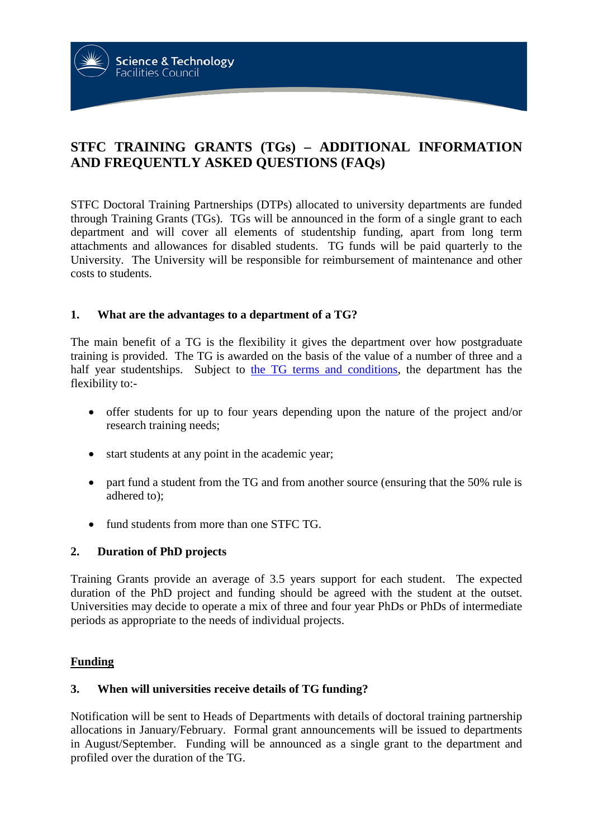**STFC TRAINING GRANTS (TGs) – ADDITIONAL INFORMATION AND FREQUENTLY ASKED QUESTIONS (FAQs)**

STFC Doctoral Training Partnerships (DTPs) allocated to university departments are funded through Training Grants (TGs). TGs will be announced in the form of a single grant to each department and will cover all elements of studentship funding, apart from long term attachments and allowances for disabled students. TG funds will be paid quarterly to the University. The University will be responsible for reimbursement of maintenance and other costs to students.

#### **1. What are the advantages to a department of a TG?**

**Science & Technology Facilities Council** 

The main benefit of a TG is the flexibility it gives the department over how postgraduate training is provided. The TG is awarded on the basis of the value of a number of three and a half year studentships. Subject to [the TG terms and conditions,](http://www.stfc.ac.uk/funding/studentships/studentship-terms-conditions-guidance/) the department has the flexibility to:-

- offer students for up to four years depending upon the nature of the project and/or research training needs;
- start students at any point in the academic year;
- part fund a student from the TG and from another source (ensuring that the 50% rule is adhered to);
- fund students from more than one STFC TG.

#### **2. Duration of PhD projects**

Training Grants provide an average of 3.5 years support for each student. The expected duration of the PhD project and funding should be agreed with the student at the outset. Universities may decide to operate a mix of three and four year PhDs or PhDs of intermediate periods as appropriate to the needs of individual projects.

#### **Funding**

#### **3. When will universities receive details of TG funding?**

Notification will be sent to Heads of Departments with details of doctoral training partnership allocations in January/February. Formal grant announcements will be issued to departments in August/September. Funding will be announced as a single grant to the department and profiled over the duration of the TG.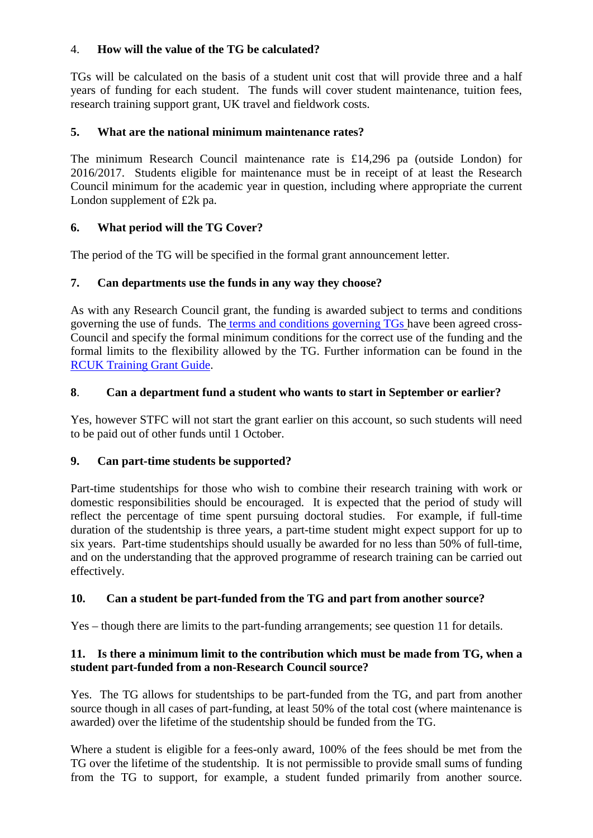# 4. **How will the value of the TG be calculated?**

TGs will be calculated on the basis of a student unit cost that will provide three and a half years of funding for each student. The funds will cover student maintenance, tuition fees, research training support grant, UK travel and fieldwork costs.

### **5. What are the national minimum maintenance rates?**

The minimum Research Council maintenance rate is £14,296 pa (outside London) for 2016/2017. Students eligible for maintenance must be in receipt of at least the Research Council minimum for the academic year in question, including where appropriate the current London supplement of £2k pa.

## **6. What period will the TG Cover?**

The period of the TG will be specified in the formal grant announcement letter.

## **7. Can departments use the funds in any way they choose?**

As with any Research Council grant, the funding is awarded subject to terms and conditions governing the use of funds. The [terms and conditions governing TGs](http://www.rcuk.ac.uk/funding/grantstcs/) have been agreed cross-Council and specify the formal minimum conditions for the correct use of the funding and the formal limits to the flexibility allowed by the TG. Further information can be found in the [RCUK Training Grant Guide.](http://www.rcuk.ac.uk/funding/grantstcs/)

## **8**. **Can a department fund a student who wants to start in September or earlier?**

Yes, however STFC will not start the grant earlier on this account, so such students will need to be paid out of other funds until 1 October.

### **9. Can part-time students be supported?**

Part-time studentships for those who wish to combine their research training with work or domestic responsibilities should be encouraged. It is expected that the period of study will reflect the percentage of time spent pursuing doctoral studies. For example, if full-time duration of the studentship is three years, a part-time student might expect support for up to six years. Part-time studentships should usually be awarded for no less than 50% of full-time, and on the understanding that the approved programme of research training can be carried out effectively.

# **10. Can a student be part-funded from the TG and part from another source?**

Yes – though there are limits to the part-funding arrangements; see question 11 for details.

## **11. Is there a minimum limit to the contribution which must be made from TG, when a student part-funded from a non-Research Council source?**

Yes. The TG allows for studentships to be part-funded from the TG, and part from another source though in all cases of part-funding, at least 50% of the total cost (where maintenance is awarded) over the lifetime of the studentship should be funded from the TG.

Where a student is eligible for a fees-only award, 100% of the fees should be met from the TG over the lifetime of the studentship. It is not permissible to provide small sums of funding from the TG to support, for example, a student funded primarily from another source.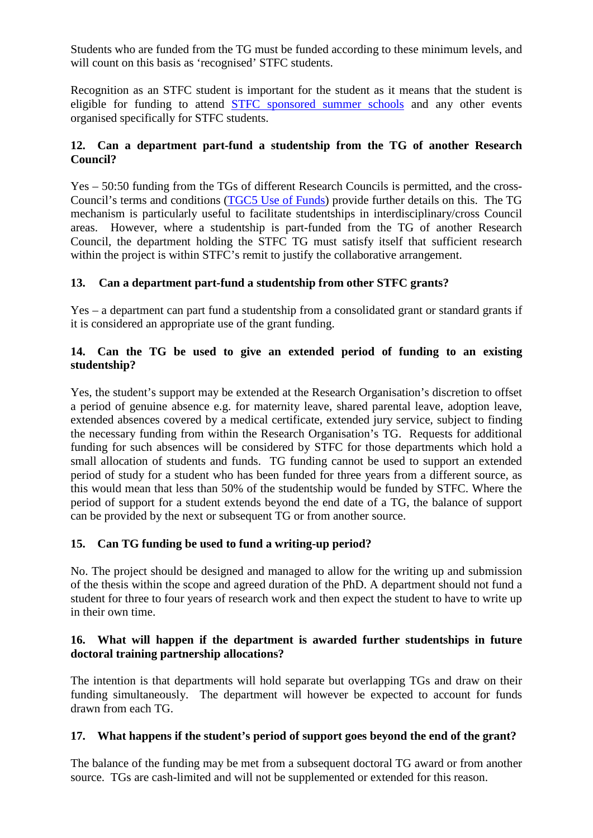Students who are funded from the TG must be funded according to these minimum levels, and will count on this basis as 'recognised' STFC students.

Recognition as an STFC student is important for the student as it means that the student is eligible for funding to attend STFC [sponsored summer schools](http://www.stfc.ac.uk/funding/education-training-and-careers-committee/stfc-support-for-short-courses-and-summer-schools/) and any other events organised specifically for STFC students.

## **12. Can a department part-fund a studentship from the TG of another Research Council?**

Yes – 50:50 funding from the TGs of different Research Councils is permitted, and the cross-Council's terms and conditions [\(TGC5 Use of Funds\)](http://www.rcuk.ac.uk/funding/grantstcs/) provide further details on this. The TG mechanism is particularly useful to facilitate studentships in interdisciplinary/cross Council areas. However, where a studentship is part-funded from the TG of another Research Council, the department holding the STFC TG must satisfy itself that sufficient research within the project is within STFC's remit to justify the collaborative arrangement.

## **13. Can a department part-fund a studentship from other STFC grants?**

Yes – a department can part fund a studentship from a consolidated grant or standard grants if it is considered an appropriate use of the grant funding.

# **14. Can the TG be used to give an extended period of funding to an existing studentship?**

Yes, the student's support may be extended at the Research Organisation's discretion to offset a period of genuine absence e.g. for maternity leave, shared parental leave, adoption leave, extended absences covered by a medical certificate, extended jury service, subject to finding the necessary funding from within the Research Organisation's TG. Requests for additional funding for such absences will be considered by STFC for those departments which hold a small allocation of students and funds. TG funding cannot be used to support an extended period of study for a student who has been funded for three years from a different source, as this would mean that less than 50% of the studentship would be funded by STFC. Where the period of support for a student extends beyond the end date of a TG, the balance of support can be provided by the next or subsequent TG or from another source.

### **15. Can TG funding be used to fund a writing-up period?**

No. The project should be designed and managed to allow for the writing up and submission of the thesis within the scope and agreed duration of the PhD. A department should not fund a student for three to four years of research work and then expect the student to have to write up in their own time.

### **16. What will happen if the department is awarded further studentships in future doctoral training partnership allocations?**

The intention is that departments will hold separate but overlapping TGs and draw on their funding simultaneously. The department will however be expected to account for funds drawn from each TG.

### **17. What happens if the student's period of support goes beyond the end of the grant?**

The balance of the funding may be met from a subsequent doctoral TG award or from another source. TGs are cash-limited and will not be supplemented or extended for this reason.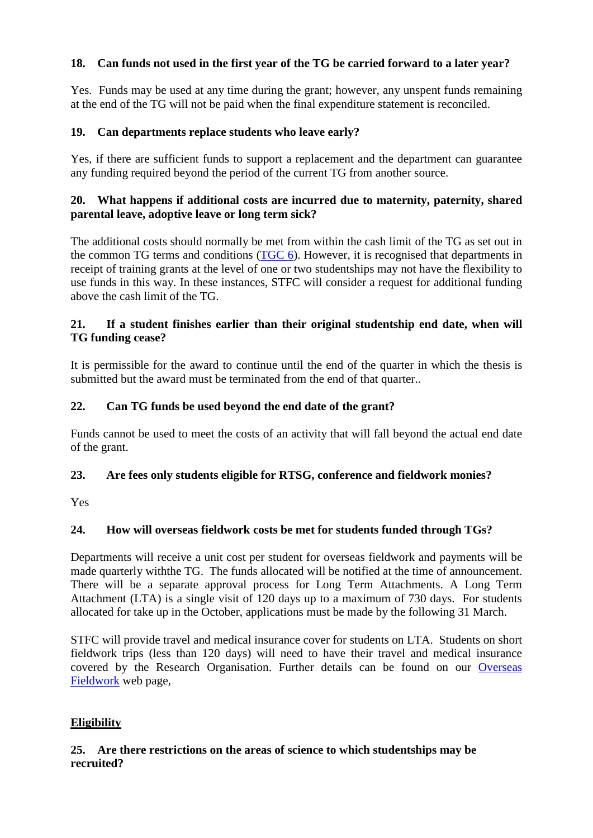# **18. Can funds not used in the first year of the TG be carried forward to a later year?**

Yes. Funds may be used at any time during the grant; however, any unspent funds remaining at the end of the TG will not be paid when the final expenditure statement is reconciled.

#### **19. Can departments replace students who leave early?**

Yes, if there are sufficient funds to support a replacement and the department can guarantee any funding required beyond the period of the current TG from another source.

#### **20. What happens if additional costs are incurred due to maternity, paternity, shared parental leave, adoptive leave or long term sick?**

The additional costs should normally be met from within the cash limit of the TG as set out in the common TG terms and conditions [\(TGC 6\)](http://www.rcuk.ac.uk/funding/grantstcs/). However, it is recognised that departments in receipt of training grants at the level of one or two studentships may not have the flexibility to use funds in this way. In these instances, STFC will consider a request for additional funding above the cash limit of the TG.

#### **21. If a student finishes earlier than their original studentship end date, when will TG funding cease?**

It is permissible for the award to continue until the end of the quarter in which the thesis is submitted but the award must be terminated from the end of that quarter..

### **22. Can TG funds be used beyond the end date of the grant?**

Funds cannot be used to meet the costs of an activity that will fall beyond the actual end date of the grant.

### **23. Are fees only students eligible for RTSG, conference and fieldwork monies?**

Yes

### **24. How will overseas fieldwork costs be met for students funded through TGs?**

Departments will receive a unit cost per student for overseas fieldwork and payments will be made quarterly withthe TG. The funds allocated will be notified at the time of announcement. There will be a separate approval process for Long Term Attachments. A Long Term Attachment (LTA) is a single visit of 120 days up to a maximum of 730 days. For students allocated for take up in the October, applications must be made by the following 31 March.

STFC will provide travel and medical insurance cover for students on LTA. Students on short fieldwork trips (less than 120 days) will need to have their travel and medical insurance covered by the Research Organisation. Further details can be found on our [Overseas](http://www.stfc.ac.uk/funding/studentships/overseas-fieldwork/)  [Fieldwork](http://www.stfc.ac.uk/funding/studentships/overseas-fieldwork/) web page,

### **Eligibility**

### **25. Are there restrictions on the areas of science to which studentships may be recruited?**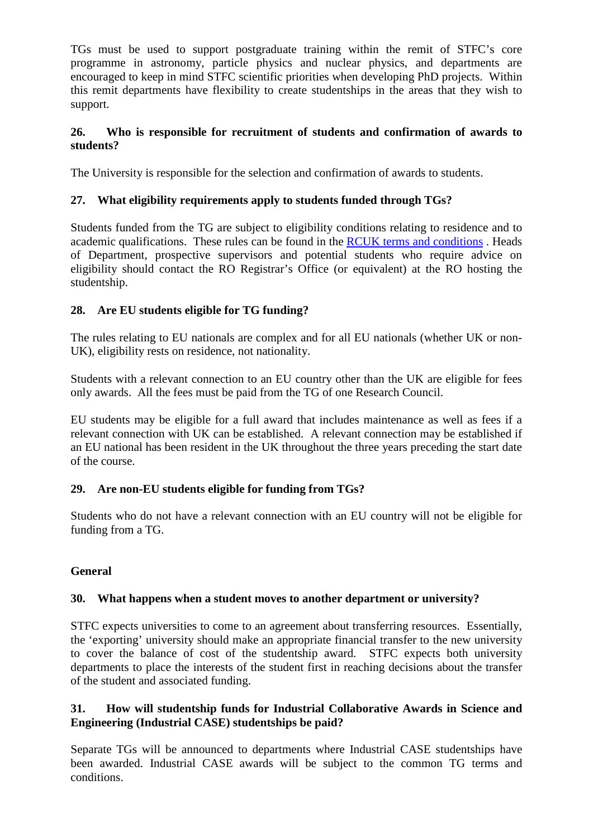TGs must be used to support postgraduate training within the remit of STFC's core programme in astronomy, particle physics and nuclear physics, and departments are encouraged to keep in mind STFC scientific priorities when developing PhD projects. Within this remit departments have flexibility to create studentships in the areas that they wish to support.

### **26. Who is responsible for recruitment of students and confirmation of awards to students?**

The University is responsible for the selection and confirmation of awards to students.

## **27. What eligibility requirements apply to students funded through TGs?**

Students funded from the TG are subject to eligibility conditions relating to residence and to academic qualifications. These rules can be found in the [RCUK terms and conditions](http://www.rcuk.ac.uk/funding/grantstcs/) . Heads of Department, prospective supervisors and potential students who require advice on eligibility should contact the RO Registrar's Office (or equivalent) at the RO hosting the studentship.

## **28. Are EU students eligible for TG funding?**

The rules relating to EU nationals are complex and for all EU nationals (whether UK or non-UK), eligibility rests on residence, not nationality.

Students with a relevant connection to an EU country other than the UK are eligible for fees only awards. All the fees must be paid from the TG of one Research Council.

EU students may be eligible for a full award that includes maintenance as well as fees if a relevant connection with UK can be established. A relevant connection may be established if an EU national has been resident in the UK throughout the three years preceding the start date of the course.

### **29. Are non-EU students eligible for funding from TGs?**

Students who do not have a relevant connection with an EU country will not be eligible for funding from a TG.

### **General**

### **30. What happens when a student moves to another department or university?**

STFC expects universities to come to an agreement about transferring resources. Essentially, the 'exporting' university should make an appropriate financial transfer to the new university to cover the balance of cost of the studentship award. STFC expects both university departments to place the interests of the student first in reaching decisions about the transfer of the student and associated funding.

#### **31. How will studentship funds for Industrial Collaborative Awards in Science and Engineering (Industrial CASE) studentships be paid?**

Separate TGs will be announced to departments where Industrial CASE studentships have been awarded. Industrial CASE awards will be subject to the common TG terms and conditions.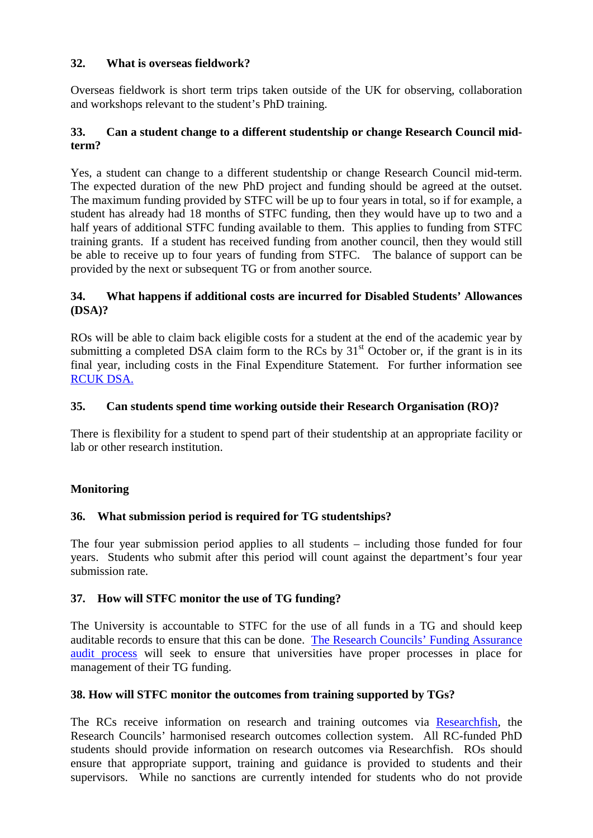### **32. What is overseas fieldwork?**

Overseas fieldwork is short term trips taken outside of the UK for observing, collaboration and workshops relevant to the student's PhD training.

### **33. Can a student change to a different studentship or change Research Council midterm?**

Yes, a student can change to a different studentship or change Research Council mid-term. The expected duration of the new PhD project and funding should be agreed at the outset. The maximum funding provided by STFC will be up to four years in total, so if for example, a student has already had 18 months of STFC funding, then they would have up to two and a half years of additional STFC funding available to them. This applies to funding from STFC training grants. If a student has received funding from another council, then they would still be able to receive up to four years of funding from STFC. The balance of support can be provided by the next or subsequent TG or from another source.

### **34. What happens if additional costs are incurred for Disabled Students' Allowances (DSA)?**

ROs will be able to claim back eligible costs for a student at the end of the academic year by submitting a completed DSA claim form to the RCs by  $31<sup>st</sup>$  October or, if the grant is in its final year, including costs in the Final Expenditure Statement. For further information see [RCUK DSA.](http://www.rcuk.ac.uk/skills/training/)

## **35. Can students spend time working outside their Research Organisation (RO)?**

There is flexibility for a student to spend part of their studentship at an appropriate facility or lab or other research institution.

# **Monitoring**

# **36. What submission period is required for TG studentships?**

The four year submission period applies to all students – including those funded for four years. Students who submit after this period will count against the department's four year submission rate.

### **37. How will STFC monitor the use of TG funding?**

The University is accountable to STFC for the use of all funds in a TG and should keep auditable records to ensure that this can be done. [The Research Councils' Funding Assurance](http://www.rcuk.ac.uk/about/aboutRCUK/aims/units/Assurance/)  [audit process](http://www.rcuk.ac.uk/about/aboutRCUK/aims/units/Assurance/) will seek to ensure that universities have proper processes in place for management of their TG funding.

### **38. How will STFC monitor the outcomes from training supported by TGs?**

The RCs receive information on research and training outcomes via [Researchfish,](http://www.rcuk.ac.uk/research/researchoutcomes/help/) the Research Councils' harmonised research outcomes collection system. All RC-funded PhD students should provide information on research outcomes via Researchfish. ROs should ensure that appropriate support, training and guidance is provided to students and their supervisors. While no sanctions are currently intended for students who do not provide